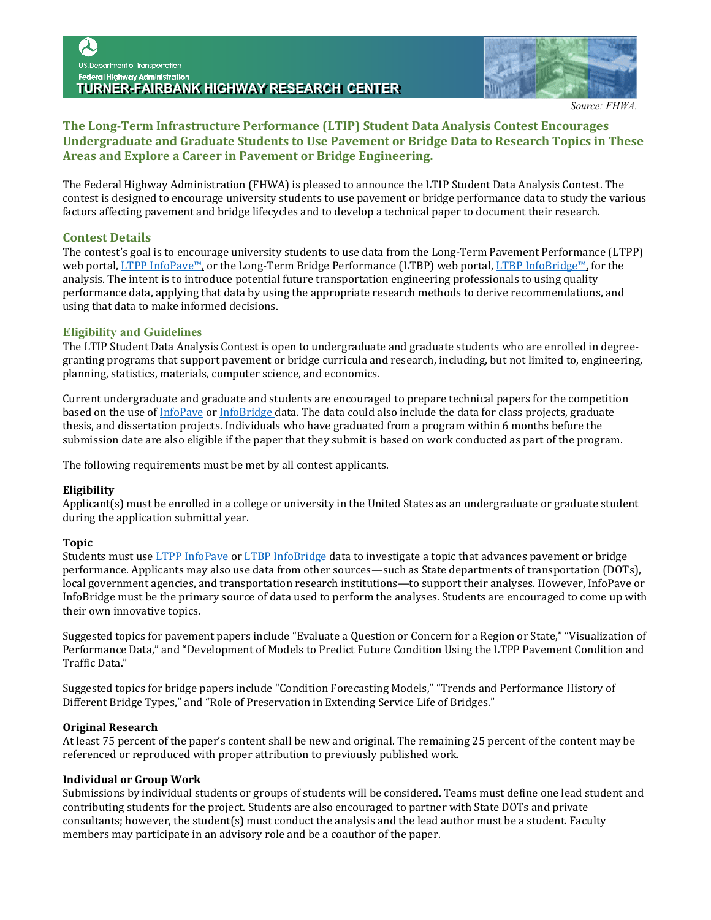

*Source: FHWA.*

# **The Long-Term Infrastructure Performance (LTIP) Student Data Analysis Contest Encourages Undergraduate and Graduate Students to Use Pavement or Bridge Data to Research Topics in These Areas and Explore a Career in Pavement or Bridge Engineering.**

The Federal Highway Administration (FHWA) is pleased to announce the LTIP Student Data Analysis Contest. The contest is designed to encourage university students to use pavement or bridge performance data to study the various factors affecting pavement and bridge lifecycles and to develop a technical paper to document their research.

### **Contest Details**

The contest's goal is to encourage university students to use data from the Long-Term Pavement Performance (LTPP) web portal, [LTPP InfoPave™,](https://infopave.fhwa.dot.gov/) or the Long-Term Bridge Performance (LTBP) web portal[, LTBP InfoBridge™,](https://infobridge.fhwa.dot.gov/) for the analysis. The intent is to introduce potential future transportation engineering professionals to using quality performance data, applying that data by using the appropriate research methods to derive recommendations, and using that data to make informed decisions.

### **Eligibility and Guidelines**

The LTIP Student Data Analysis Contest is open to undergraduate and graduate students who are enrolled in degreegranting programs that support pavement or bridge curricula and research, including, but not limited to, engineering, planning, statistics, materials, computer science, and economics.

Current undergraduate and graduate and students are encouraged to prepare technical papers for the competition based on the use of [InfoPave](https://infopave.fhwa.dot.gov/) o[r InfoBridge](https://infobridge.fhwa.dot.gov/) data. The data could also include the data for class projects, graduate thesis, and dissertation projects. Individuals who have graduated from a program within 6 months before the submission date are also eligible if the paper that they submit is based on work conducted as part of the program.

The following requirements must be met by all contest applicants.

### **Eligibility**

Applicant(s) must be enrolled in a college or university in the United States as an undergraduate or graduate student during the application submittal year.

### **Topic**

Students must us[e LTPP InfoPave](https://infopave.fhwa.dot.gov/) o[r LTBP InfoBridge](https://infobridge.fhwa.dot.gov/) data to investigate a topic that advances pavement or bridge performance. Applicants may also use data from other sources—such as State departments of transportation (DOTs), local government agencies, and transportation research institutions—to support their analyses. However, InfoPave or InfoBridge must be the primary source of data used to perform the analyses. Students are encouraged to come up with their own innovative topics.

Suggested topics for pavement papers include "Evaluate a Question or Concern for a Region or State," "Visualization of Performance Data," and "Development of Models to Predict Future Condition Using the LTPP Pavement Condition and Traffic Data."

Suggested topics for bridge papers include "Condition Forecasting Models," "Trends and Performance History of Different Bridge Types," and "Role of Preservation in Extending Service Life of Bridges."

#### **Original Research**

At least 75 percent of the paper's content shall be new and original. The remaining 25 percent of the content may be referenced or reproduced with proper attribution to previously published work.

### **Individual or Group Work**

Submissions by individual students or groups of students will be considered. Teams must define one lead student and contributing students for the project. Students are also encouraged to partner with State DOTs and private consultants; however, the student(s) must conduct the analysis and the lead author must be a student. Faculty members may participate in an advisory role and be a coauthor of the paper.